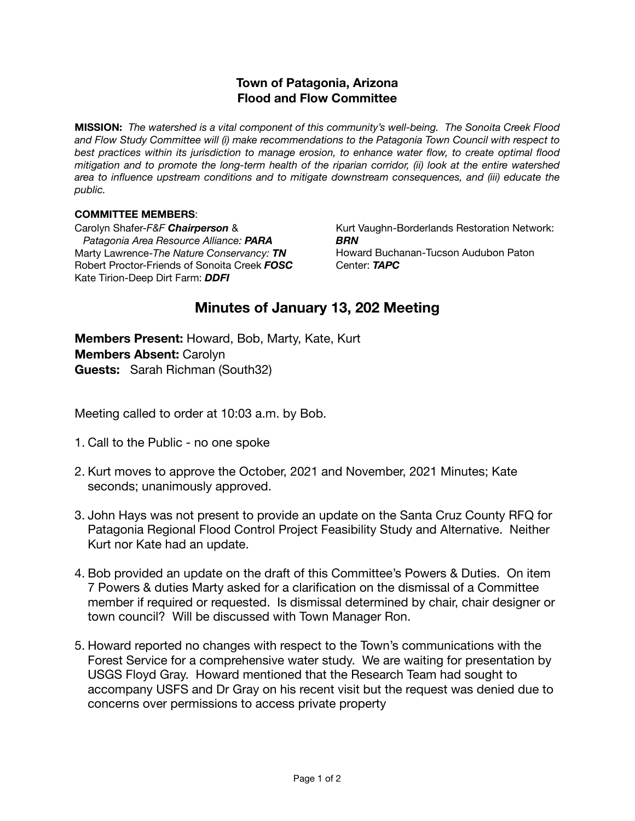## **Town of Patagonia, Arizona Flood and Flow Committee**

**MISSION:** *The watershed is a vital component of this community's well-being. The Sonoita Creek Flood and Flow Study Committee will (i) make recommendations to the Patagonia Town Council with respect to best practices within its jurisdiction to manage erosion, to enhance water flow, to create optimal flood mitigation and to promote the long-term health of the riparian corridor, (ii) look at the entire watershed area to influence upstream conditions and to mitigate downstream consequences, and (iii) educate the public.*

## **COMMITTEE MEMBERS**:

Carolyn Shafer-*F&F Chairperson* & *Patagonia Area Resource Alliance: PARA* Marty Lawrence-*The Nature Conservancy: TN*  Robert Proctor-Friends of Sonoita Creek *FOSC* Kate Tirion-Deep Dirt Farm: *DDFI*

Kurt Vaughn-Borderlands Restoration Network: *BRN* Howard Buchanan-Tucson Audubon Paton Center: *TAPC* 

## **Minutes of January 13, 202 Meeting**

**Members Present:** Howard, Bob, Marty, Kate, Kurt **Members Absent:** Carolyn **Guests:** Sarah Richman (South32)

Meeting called to order at 10:03 a.m. by Bob.

- 1. Call to the Public no one spoke
- 2. Kurt moves to approve the October, 2021 and November, 2021 Minutes; Kate seconds; unanimously approved.
- 3. John Hays was not present to provide an update on the Santa Cruz County RFQ for Patagonia Regional Flood Control Project Feasibility Study and Alternative. Neither Kurt nor Kate had an update.
- 4. Bob provided an update on the draft of this Committee's Powers & Duties. On item 7 Powers & duties Marty asked for a clarification on the dismissal of a Committee member if required or requested. Is dismissal determined by chair, chair designer or town council? Will be discussed with Town Manager Ron.
- 5. Howard reported no changes with respect to the Town's communications with the Forest Service for a comprehensive water study. We are waiting for presentation by USGS Floyd Gray. Howard mentioned that the Research Team had sought to accompany USFS and Dr Gray on his recent visit but the request was denied due to concerns over permissions to access private property